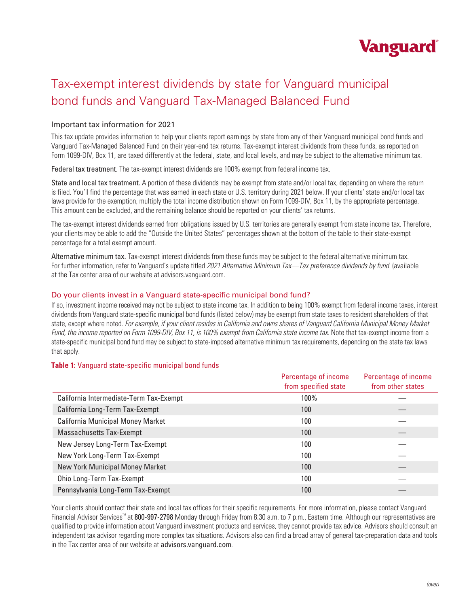

# Tax-exempt interest dividends by state for Vanguard municipal bond funds and Vanguard Tax-Managed Balanced Fund

# Important tax information for 2021

This tax update provides information to help your clients report earnings by state from any of their Vanguard municipal bond funds and Vanguard Tax-Managed Balanced Fund on their year-end tax returns. Tax-exempt interest dividends from these funds, as reported on Form 1099-DIV, Box 11, are taxed differently at the federal, state, and local levels, and may be subject to the alternative minimum tax.

Federal tax treatment. The tax-exempt interest dividends are 100% exempt from federal income tax.

State and local tax treatment. A portion of these dividends may be exempt from state and/or local tax, depending on where the return is filed. You'll find the percentage that was earned in each state or U.S. territory during 2021 below. If your clients' state and/or local tax laws provide for the exemption, multiply the total income distribution shown on Form 1099-DIV, Box 11, by the appropriate percentage. This amount can be excluded, and the remaining balance should be reported on your clients' tax returns.

The tax-exempt interest dividends earned from obligations issued by U.S. territories are generally exempt from state income tax. Therefore, your clients may be able to add the "Outside the United States" percentages shown at the bottom of the table to their state-exempt percentage for a total exempt amount.

Alternative minimum tax. Tax-exempt interest dividends from these funds may be subject to the federal alternative minimum tax. For further information, refer to Vanguard's update titled *2021 Alternative Minimum Tax—Tax preference dividends by fund* (available at the Tax center area of our website at advisors.vanguard.com.

## Do your clients invest in a Vanguard state-specific municipal bond fund?

If so, investment income received may not be subject to state income tax. In addition to being 100% exempt from federal income taxes, interest dividends from Vanguard state-specific municipal bond funds (listed below) may be exempt from state taxes to resident shareholders of that state, except where noted. *For example, if your client resides in California and owns shares of Vanguard California Municipal Money Market Fund, the income reported on Form 1099-DIV, Box 11, is 100% exempt from California state income tax*. Note that tax-exempt income from a state-specific municipal bond fund may be subject to state-imposed alternative minimum tax requirements, depending on the state tax laws that apply.

### **Table 1:** Vanguard state-specific municipal bond funds

|                                          | Percentage of income | Percentage of income |
|------------------------------------------|----------------------|----------------------|
|                                          | from specified state | from other states    |
| California Intermediate-Term Tax-Exempt  | 100%                 |                      |
| California Long-Term Tax-Exempt          | 100                  |                      |
| <b>California Municipal Money Market</b> | 100                  |                      |
| <b>Massachusetts Tax-Exempt</b>          | 100                  |                      |
| New Jersey Long-Term Tax-Exempt          | 100                  |                      |
| New York Long-Term Tax-Exempt            | 100                  |                      |
| <b>New York Municipal Money Market</b>   | 100                  |                      |
| Ohio Long-Term Tax-Exempt                | 100                  |                      |
| Pennsylvania Long-Term Tax-Exempt        | 100                  |                      |

Your clients should contact their state and local tax offices for their specific requirements. For more information, please contact Vanguard Financial Advisor Services™ at 800-997-2798 Monday through Friday from 8:30 a.m. to 7 p.m., Eastern time. Although our representatives are qualified to provide information about Vanguard investment products and services, they cannot provide tax advice. Advisors should consult an independent tax advisor regarding more complex tax situations. Advisors also can find a broad array of general tax-preparation data and tools in the Tax center area of our website at advisors.vanguard.com.